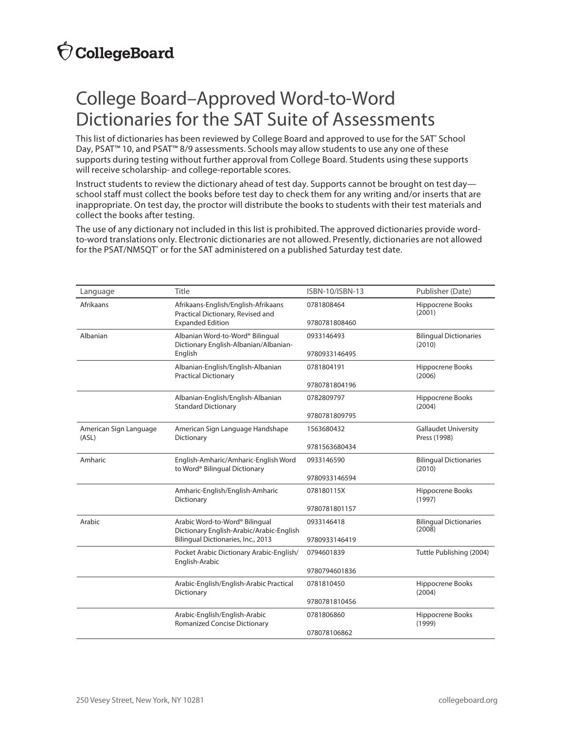#### **CollegeBoard**

#### College Board–Approved Word-to-Word Dictionaries for the SAT Suite of Assessments

This list of dictionaries has been reviewed by College Board and approved to use for the SAT<sup>®</sup> School Day, PSAT™ 10, and PSAT™ 8/9 assessments. Schools may allow students to use any one of these supports during testing without further approval from College Board. Students using these supports will receive scholarship- and college-reportable scores.

Instruct students to review the dictionary ahead of test day. Supports cannot be brought on test day school staff must collect the books before test day to check them for any writing and/or inserts that are inappropriate. On test day, the proctor will distribute the books to students with their test materials and collect the books after testing.

The use of any dictionary not included in this list is prohibited. The approved dictionaries provide wordto-word translations only. Electronic dictionaries are not allowed. Presently, dictionaries are not allowed for the PSAT/NMSQT<sup>®</sup> or for the SAT administered on a published Saturday test date.

| Language                        | Title                                                                      | ISBN-10/ISBN-13 | Publisher (Date)                            |
|---------------------------------|----------------------------------------------------------------------------|-----------------|---------------------------------------------|
| Afrikaans                       | Afrikaans-English/English-Afrikaans<br>Practical Dictionary, Revised and   | 0781808464      | Hippocrene Books<br>(2001)                  |
|                                 | <b>Expanded Edition</b>                                                    | 9780781808460   |                                             |
| Albanian                        | Albanian Word-to-Word® Bilingual<br>Dictionary English-Albanian/Albanian-  | 0933146493      | <b>Bilingual Dictionaries</b><br>(2010)     |
|                                 | English                                                                    | 9780933146495   |                                             |
|                                 | Albanian-English/English-Albanian<br><b>Practical Dictionary</b>           | 0781804191      | Hippocrene Books<br>(2006)                  |
|                                 |                                                                            | 9780781804196   |                                             |
|                                 | Albanian-English/English-Albanian<br><b>Standard Dictionary</b>            | 0782809797      | Hippocrene Books<br>(2004)                  |
|                                 |                                                                            | 9780781809795   |                                             |
| American Sign Language<br>(ASL) | American Sign Language Handshape<br>Dictionary                             | 1563680432      | <b>Gallaudet University</b><br>Press (1998) |
|                                 |                                                                            | 9781563680434   |                                             |
| Amharic                         | English-Amharic/Amharic-English Word<br>to Word® Bilingual Dictionary      | 0933146590      | <b>Bilingual Dictionaries</b><br>(2010)     |
|                                 |                                                                            | 9780933146594   |                                             |
|                                 | Amharic-English/English-Amharic<br>Dictionary                              | 078180115X      | Hippocrene Books<br>(1997)                  |
|                                 |                                                                            | 9780781801157   |                                             |
| Arabic                          | Arabic Word-to-Word® Bilingual<br>Dictionary English-Arabic/Arabic-English | 0933146418      | <b>Bilingual Dictionaries</b><br>(2008)     |
|                                 | Bilingual Dictionaries, Inc., 2013                                         | 9780933146419   |                                             |
|                                 | Pocket Arabic Dictionary Arabic-English/<br>English-Arabic                 | 0794601839      | Tuttle Publishing (2004)                    |
|                                 |                                                                            | 9780794601836   |                                             |
|                                 | Arabic-English/English-Arabic Practical<br>Dictionary                      | 0781810450      | Hippocrene Books<br>(2004)                  |
|                                 |                                                                            | 9780781810456   |                                             |
|                                 | Arabic-English/English-Arabic<br><b>Romanized Concise Dictionary</b>       | 0781806860      | Hippocrene Books<br>(1999)                  |
|                                 |                                                                            | 078078106862    |                                             |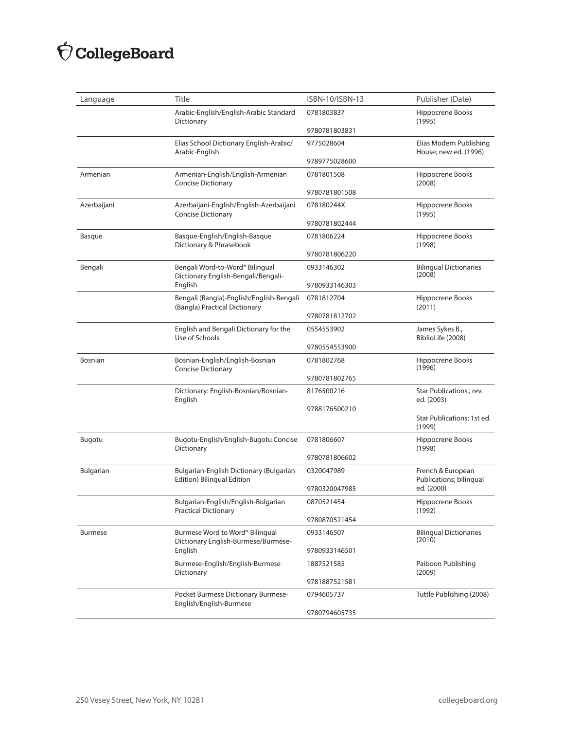| Language       | Title                                                                             | ISBN-10/ISBN-13             | Publisher (Date)                                 |
|----------------|-----------------------------------------------------------------------------------|-----------------------------|--------------------------------------------------|
|                | Arabic-English/English-Arabic Standard<br>Dictionary                              | 0781803837                  | Hippocrene Books<br>(1995)                       |
|                |                                                                                   | 9780781803831               |                                                  |
|                | Elias School Dictionary English-Arabic/<br>Arabic-English                         | 9775028604                  | Elias Modern Publishing<br>House; new ed. (1996) |
|                |                                                                                   | 9789775028600               |                                                  |
| Armenian       | Armenian-English/English-Armenian<br><b>Concise Dictionary</b>                    | 0781801508                  | Hippocrene Books<br>(2008)                       |
|                |                                                                                   | 9780781801508               |                                                  |
| Azerbaijani    | Azerbaijani-English/English-Azerbaijani<br><b>Concise Dictionary</b>              | 078180244X                  | Hippocrene Books<br>(1995)                       |
|                |                                                                                   | 9780781802444               |                                                  |
| Basque         | Basque-English/English-Basque<br>Dictionary & Phrasebook                          | 0781806224                  | Hippocrene Books<br>(1998)                       |
|                |                                                                                   | 9780781806220               |                                                  |
| Bengali        | Bengali Word-to-Word® Bilingual<br>Dictionary English-Bengali/Bengali-            | 0933146302                  | <b>Bilingual Dictionaries</b><br>(2008)          |
|                | English                                                                           | 9780933146303               |                                                  |
|                | Bengali (Bangla)-English/English-Bengali<br>(Bangla) Practical Dictionary         | 0781812704                  | Hippocrene Books<br>(2011)                       |
|                |                                                                                   | 9780781812702               |                                                  |
|                | English and Bengali Dictionary for the<br>Use of Schools                          | 0554553902                  | James Sykes B.,<br>BiblioLife (2008)             |
|                |                                                                                   | 9780554553900               |                                                  |
| Bosnian        | Bosnian-English/English-Bosnian<br><b>Concise Dictionary</b>                      | 0781802768                  | Hippocrene Books<br>(1996)                       |
|                |                                                                                   | 9780781802765               |                                                  |
|                | Dictionary: English-Bosnian/Bosnian-<br>English                                   | 8176500216                  | Star Publications.; rev.<br>ed. (2003)           |
|                |                                                                                   | 9788176500210               | Star Publications; 1st ed.<br>(1999)             |
| Bugotu         | Bugotu-English/English-Bugotu Concise<br>Dictionary                               | 0781806607                  | Hippocrene Books<br>(1998)                       |
|                |                                                                                   | 9780781806602               |                                                  |
| Bulgarian      | Bulgarian-English Dictionary (Bulgarian<br>Edition) Bilingual Edition             | 0320047989                  | French & European<br>Publications; bilingual     |
|                |                                                                                   | 9780320047985               | ed. (2000)                                       |
|                | Bulgarian-English/English-Bulgarian<br><b>Practical Dictionary</b>                | 0870521454                  | Hippocrene Books<br>(1992)                       |
|                |                                                                                   | 9780870521454               |                                                  |
| <b>Burmese</b> | Burmese Word to Word® Bilingual<br>Dictionary English-Burmese/Burmese-<br>English | 0933146507                  | <b>Bilingual Dictionaries</b><br>(2010)          |
|                |                                                                                   | 9780933146501               |                                                  |
|                | Burmese-English/English-Burmese<br>Dictionary                                     | 1887521585<br>9781887521581 | Paiboon Publishing<br>(2009)                     |
|                |                                                                                   |                             |                                                  |
|                | Pocket Burmese Dictionary Burmese-<br>English/English-Burmese                     | 0794605737                  | Tuttle Publishing (2008)                         |
|                |                                                                                   | 9780794605735               |                                                  |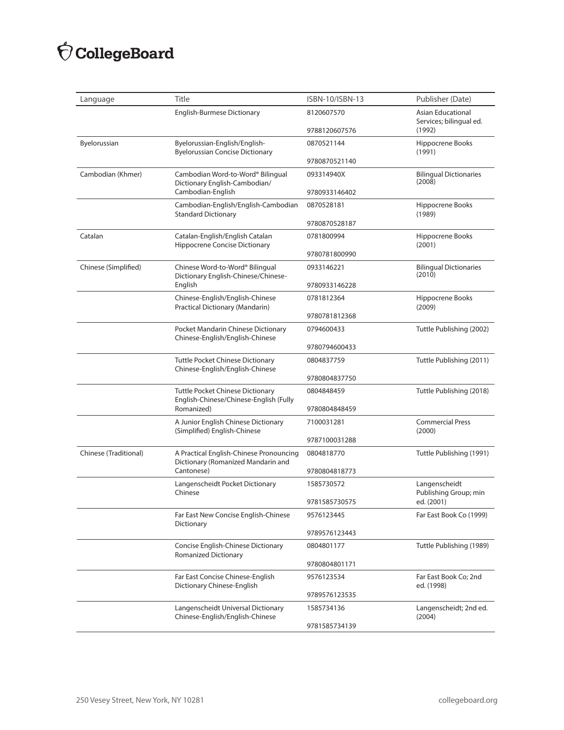| Language              | Title                                                                         | ISBN-10/ISBN-13 | Publisher (Date)                             |
|-----------------------|-------------------------------------------------------------------------------|-----------------|----------------------------------------------|
|                       | English-Burmese Dictionary                                                    | 8120607570      | Asian Educational<br>Services; bilingual ed. |
|                       |                                                                               | 9788120607576   | (1992)                                       |
| Byelorussian          | Byelorussian-English/English-<br><b>Byelorussian Concise Dictionary</b>       | 0870521144      | Hippocrene Books<br>(1991)                   |
|                       |                                                                               | 9780870521140   |                                              |
| Cambodian (Khmer)     | Cambodian Word-to-Word® Bilingual<br>Dictionary English-Cambodian/            | 093314940X      | <b>Bilingual Dictionaries</b><br>(2008)      |
|                       | Cambodian-English                                                             | 9780933146402   |                                              |
|                       | Cambodian-English/English-Cambodian<br><b>Standard Dictionary</b>             | 0870528181      | Hippocrene Books<br>(1989)                   |
|                       |                                                                               | 9780870528187   |                                              |
| Catalan               | Catalan-English/English Catalan<br>Hippocrene Concise Dictionary              | 0781800994      | Hippocrene Books<br>(2001)                   |
|                       |                                                                               | 9780781800990   |                                              |
| Chinese (Simplified)  | Chinese Word-to-Word® Bilingual<br>Dictionary English-Chinese/Chinese-        | 0933146221      | <b>Bilingual Dictionaries</b><br>(2010)      |
|                       | English                                                                       | 9780933146228   |                                              |
|                       | Chinese-English/English-Chinese<br>Practical Dictionary (Mandarin)            | 0781812364      | Hippocrene Books<br>(2009)                   |
|                       |                                                                               | 9780781812368   |                                              |
|                       | Pocket Mandarin Chinese Dictionary<br>Chinese-English/English-Chinese         | 0794600433      | Tuttle Publishing (2002)                     |
|                       |                                                                               | 9780794600433   |                                              |
|                       | <b>Tuttle Pocket Chinese Dictionary</b><br>Chinese-English/English-Chinese    | 0804837759      | Tuttle Publishing (2011)                     |
|                       |                                                                               | 9780804837750   |                                              |
|                       | Tuttle Pocket Chinese Dictionary<br>English-Chinese/Chinese-English (Fully    | 0804848459      | Tuttle Publishing (2018)                     |
|                       | Romanized)                                                                    | 9780804848459   |                                              |
|                       | A Junior English Chinese Dictionary<br>(Simplified) English-Chinese           | 7100031281      | <b>Commercial Press</b><br>(2000)            |
|                       |                                                                               | 9787100031288   |                                              |
| Chinese (Traditional) | A Practical English-Chinese Pronouncing<br>Dictionary (Romanized Mandarin and | 0804818770      | Tuttle Publishing (1991)                     |
|                       | Cantonese)                                                                    | 9780804818773   |                                              |
|                       | Langenscheidt Pocket Dictionary<br>Chinese                                    | 1585730572      | Langenscheidt<br>Publishing Group; min       |
|                       |                                                                               | 9781585730575   | ed. (2001)                                   |
|                       | Far East New Concise English-Chinese<br>Dictionary                            | 9576123445      | Far East Book Co (1999)                      |
|                       |                                                                               | 9789576123443   |                                              |
|                       | Concise English-Chinese Dictionary<br><b>Romanized Dictionary</b>             | 0804801177      | Tuttle Publishing (1989)                     |
|                       |                                                                               | 9780804801171   |                                              |
|                       | Far East Concise Chinese-English<br>Dictionary Chinese-English                | 9576123534      | Far East Book Co; 2nd<br>ed. (1998)          |
|                       |                                                                               | 9789576123535   |                                              |
|                       | Langenscheidt Universal Dictionary<br>Chinese-English/English-Chinese         | 1585734136      | Langenscheidt; 2nd ed.<br>(2004)             |
|                       |                                                                               | 9781585734139   |                                              |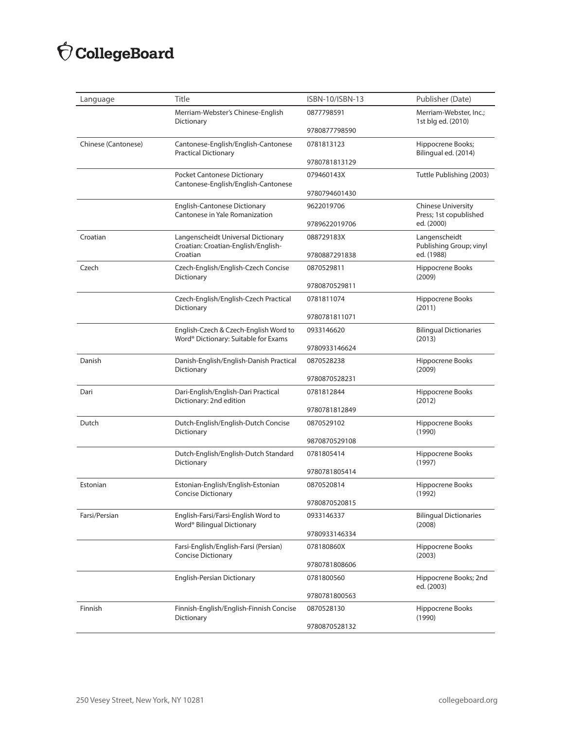| Language            | Title                                                                                     | ISBN-10/ISBN-13 | Publisher (Date)                                    |
|---------------------|-------------------------------------------------------------------------------------------|-----------------|-----------------------------------------------------|
|                     | Merriam-Webster's Chinese-English<br>Dictionary                                           | 0877798591      | Merriam-Webster, Inc.;<br>1st blg ed. (2010)        |
|                     |                                                                                           | 9780877798590   |                                                     |
| Chinese (Cantonese) | Cantonese-English/English-Cantonese<br><b>Practical Dictionary</b>                        | 0781813123      | Hippocrene Books;<br>Bilingual ed. (2014)           |
|                     |                                                                                           | 9780781813129   |                                                     |
|                     | Pocket Cantonese Dictionary<br>Cantonese-English/English-Cantonese                        | 079460143X      | Tuttle Publishing (2003)                            |
|                     |                                                                                           | 9780794601430   |                                                     |
|                     | <b>English-Cantonese Dictionary</b><br>Cantonese in Yale Romanization                     | 9622019706      | <b>Chinese University</b><br>Press; 1st copublished |
|                     |                                                                                           | 9789622019706   | ed. (2000)                                          |
| Croatian            | Langenscheidt Universal Dictionary<br>Croatian: Croatian-English/English-                 | 088729183X      | Langenscheidt<br>Publishing Group; vinyl            |
|                     | Croatian                                                                                  | 9780887291838   | ed. (1988)                                          |
| Czech               | Czech-English/English-Czech Concise<br>Dictionary                                         | 0870529811      | Hippocrene Books<br>(2009)                          |
|                     |                                                                                           | 9780870529811   |                                                     |
|                     | Czech-English/English-Czech Practical<br>Dictionary                                       | 0781811074      | Hippocrene Books<br>(2011)                          |
|                     |                                                                                           | 9780781811071   |                                                     |
|                     | English-Czech & Czech-English Word to<br>Word <sup>®</sup> Dictionary: Suitable for Exams | 0933146620      | <b>Bilingual Dictionaries</b><br>(2013)             |
|                     |                                                                                           | 9780933146624   |                                                     |
| Danish              | Danish-English/English-Danish Practical<br>Dictionary                                     | 0870528238      | Hippocrene Books<br>(2009)                          |
|                     |                                                                                           | 9780870528231   |                                                     |
| Dari                | Dari-English/English-Dari Practical<br>Dictionary: 2nd edition                            | 0781812844      | Hippocrene Books<br>(2012)                          |
|                     |                                                                                           | 9780781812849   |                                                     |
| Dutch               | Dutch-English/English-Dutch Concise<br>Dictionary                                         | 0870529102      | Hippocrene Books<br>(1990)                          |
|                     |                                                                                           | 9870870529108   |                                                     |
|                     | Dutch-English/English-Dutch Standard<br>Dictionary                                        | 0781805414      | Hippocrene Books<br>(1997)                          |
|                     |                                                                                           | 9780781805414   |                                                     |
| Estonian            | Estonian-English/English-Estonian<br><b>Concise Dictionary</b>                            | 0870520814      | Hippocrene Books<br>(1992)                          |
|                     |                                                                                           | 9780870520815   |                                                     |
| Farsi/Persian       | English-Farsi/Farsi-English Word to<br>Word <sup>®</sup> Bilingual Dictionary             | 0933146337      | <b>Bilingual Dictionaries</b><br>(2008)             |
|                     |                                                                                           | 9780933146334   |                                                     |
|                     | Farsi-English/English-Farsi (Persian)<br><b>Concise Dictionary</b>                        | 078180860X      | Hippocrene Books<br>(2003)                          |
|                     |                                                                                           | 9780781808606   |                                                     |
|                     | <b>English-Persian Dictionary</b>                                                         | 0781800560      | Hippocrene Books; 2nd<br>ed. (2003)                 |
|                     |                                                                                           | 9780781800563   |                                                     |
| Finnish             | Finnish-English/English-Finnish Concise<br>Dictionary                                     | 0870528130      | Hippocrene Books<br>(1990)                          |
|                     |                                                                                           | 9780870528132   |                                                     |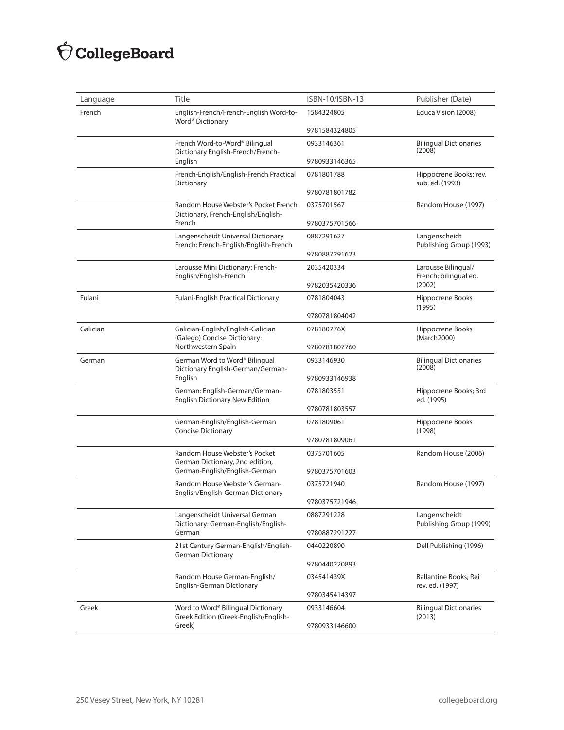| Language | Title                                                                       | ISBN-10/ISBN-13 | Publisher (Date)                                       |
|----------|-----------------------------------------------------------------------------|-----------------|--------------------------------------------------------|
| French   | English-French/French-English Word-to-<br>Word <sup>®</sup> Dictionary      | 1584324805      | Educa Vision (2008)                                    |
|          |                                                                             | 9781584324805   |                                                        |
|          | French Word-to-Word® Bilingual<br>Dictionary English-French/French-         | 0933146361      | <b>Bilingual Dictionaries</b><br>(2008)                |
|          | English                                                                     | 9780933146365   |                                                        |
|          | French-English/English-French Practical<br>Dictionary                       | 0781801788      | Hippocrene Books; rev.<br>sub. ed. (1993)              |
|          |                                                                             | 9780781801782   |                                                        |
|          | Random House Webster's Pocket French<br>Dictionary, French-English/English- | 0375701567      | Random House (1997)                                    |
|          | French                                                                      | 9780375701566   |                                                        |
|          | Langenscheidt Universal Dictionary<br>French: French-English/English-French | 0887291627      | Langenscheidt<br>Publishing Group (1993)               |
|          |                                                                             | 9780887291623   |                                                        |
|          | Larousse Mini Dictionary: French-<br>English/English-French                 | 2035420334      | Larousse Bilingual/<br>French; bilingual ed.<br>(2002) |
|          |                                                                             | 9782035420336   |                                                        |
| Fulani   | <b>Fulani-English Practical Dictionary</b>                                  | 0781804043      | Hippocrene Books<br>(1995)                             |
|          |                                                                             | 9780781804042   |                                                        |
| Galician | Galician-English/English-Galician<br>(Galego) Concise Dictionary:           | 078180776X      | Hippocrene Books<br>(March2000)                        |
|          | Northwestern Spain                                                          | 9780781807760   |                                                        |
| German   | German Word to Word® Bilingual<br>Dictionary English-German/German-         | 0933146930      | <b>Bilingual Dictionaries</b><br>(2008)                |
|          | English                                                                     | 9780933146938   |                                                        |
|          | German: English-German/German-<br><b>English Dictionary New Edition</b>     | 0781803551      | Hippocrene Books; 3rd<br>ed. (1995)                    |
|          |                                                                             | 9780781803557   |                                                        |
|          | German-English/English-German<br><b>Concise Dictionary</b>                  | 0781809061      | Hippocrene Books<br>(1998)                             |
|          |                                                                             | 9780781809061   |                                                        |
|          | Random House Webster's Pocket<br>German Dictionary, 2nd edition,            | 0375701605      | Random House (2006)                                    |
|          | German-English/English-German                                               | 9780375701603   |                                                        |
|          | Random House Webster's German-<br>English/English-German Dictionary         | 0375721940      | Random House (1997)                                    |
|          |                                                                             | 9780375721946   |                                                        |
|          | Langenscheidt Universal German<br>Dictionary: German-English/English-       | 0887291228      | Langenscheidt<br>Publishing Group (1999)               |
|          | German                                                                      | 9780887291227   |                                                        |
|          | 21st Century German-English/English-<br><b>German Dictionary</b>            | 0440220890      | Dell Publishing (1996)                                 |
|          |                                                                             | 9780440220893   |                                                        |
|          | Random House German-English/<br>English-German Dictionary                   | 034541439X      | Ballantine Books; Rei<br>rev. ed. (1997)               |
|          |                                                                             | 9780345414397   |                                                        |
| Greek    | Word to Word® Bilingual Dictionary<br>Greek Edition (Greek-English/English- | 0933146604      | <b>Bilingual Dictionaries</b><br>(2013)                |
|          | Greek)                                                                      | 9780933146600   |                                                        |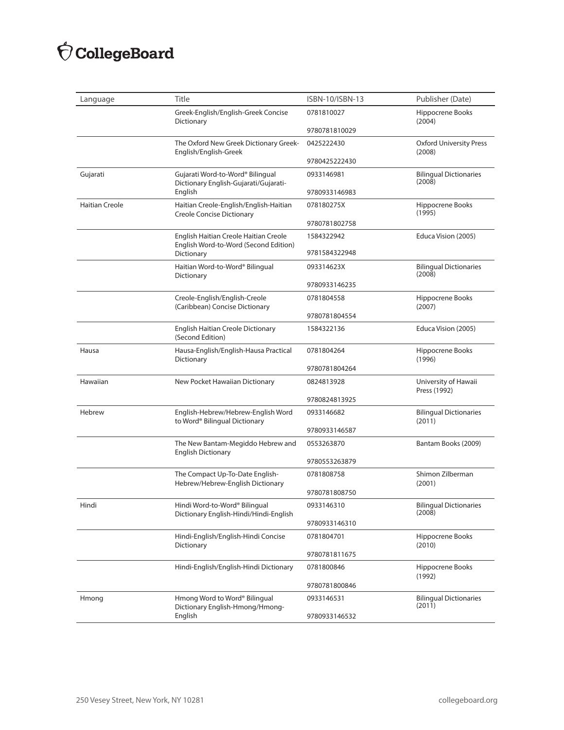| Language              | Title                                                                          | ISBN-10/ISBN-13 | Publisher (Date)                         |
|-----------------------|--------------------------------------------------------------------------------|-----------------|------------------------------------------|
|                       | Greek-English/English-Greek Concise<br>Dictionary                              | 0781810027      | Hippocrene Books<br>(2004)               |
|                       |                                                                                | 9780781810029   |                                          |
|                       | The Oxford New Greek Dictionary Greek-<br>English/English-Greek                | 0425222430      | <b>Oxford University Press</b><br>(2008) |
|                       |                                                                                | 9780425222430   |                                          |
| Gujarati              | Gujarati Word-to-Word® Bilingual<br>Dictionary English-Gujarati/Gujarati-      | 0933146981      | <b>Bilingual Dictionaries</b><br>(2008)  |
|                       | English                                                                        | 9780933146983   |                                          |
| <b>Haitian Creole</b> | Haitian Creole-English/English-Haitian<br><b>Creole Concise Dictionary</b>     | 078180275X      | Hippocrene Books<br>(1995)               |
|                       |                                                                                | 9780781802758   |                                          |
|                       | English Haitian Creole Haitian Creole<br>English Word-to-Word (Second Edition) | 1584322942      | Educa Vision (2005)                      |
|                       | Dictionary                                                                     | 9781584322948   |                                          |
|                       | Haitian Word-to-Word® Bilingual<br>Dictionary                                  | 093314623X      | <b>Bilingual Dictionaries</b><br>(2008)  |
|                       |                                                                                | 9780933146235   |                                          |
|                       | Creole-English/English-Creole<br>(Caribbean) Concise Dictionary                | 0781804558      | Hippocrene Books<br>(2007)               |
|                       |                                                                                | 9780781804554   |                                          |
|                       | English Haitian Creole Dictionary<br>(Second Edition)                          | 1584322136      | Educa Vision (2005)                      |
| Hausa                 | Hausa-English/English-Hausa Practical<br>Dictionary                            | 0781804264      | Hippocrene Books<br>(1996)               |
|                       |                                                                                | 9780781804264   |                                          |
| Hawaiian              | New Pocket Hawaiian Dictionary                                                 | 0824813928      | University of Hawaii<br>Press (1992)     |
|                       |                                                                                | 9780824813925   |                                          |
| Hebrew                | English-Hebrew/Hebrew-English Word<br>to Word® Bilingual Dictionary            | 0933146682      | <b>Bilingual Dictionaries</b><br>(2011)  |
|                       |                                                                                | 9780933146587   |                                          |
|                       | The New Bantam-Megiddo Hebrew and<br><b>English Dictionary</b>                 | 0553263870      | Bantam Books (2009)                      |
|                       |                                                                                | 9780553263879   |                                          |
|                       | The Compact Up-To-Date English-<br>Hebrew/Hebrew-English Dictionary            | 0781808758      | Shimon Zilberman<br>(2001)               |
|                       |                                                                                | 9780781808750   |                                          |
| Hindi                 | Hindi Word-to-Word® Bilingual<br>Dictionary English-Hindi/Hindi-English        | 0933146310      | <b>Bilingual Dictionaries</b><br>(2008)  |
|                       |                                                                                | 9780933146310   |                                          |
|                       | Hindi-English/English-Hindi Concise<br>Dictionary                              | 0781804701      | Hippocrene Books<br>(2010)               |
|                       |                                                                                | 9780781811675   |                                          |
|                       | Hindi-English/English-Hindi Dictionary                                         | 0781800846      | Hippocrene Books<br>(1992)               |
|                       |                                                                                | 9780781800846   |                                          |
| Hmong                 | Hmong Word to Word® Bilingual<br>Dictionary English-Hmong/Hmong-               | 0933146531      | <b>Bilingual Dictionaries</b><br>(2011)  |
|                       | English                                                                        | 9780933146532   |                                          |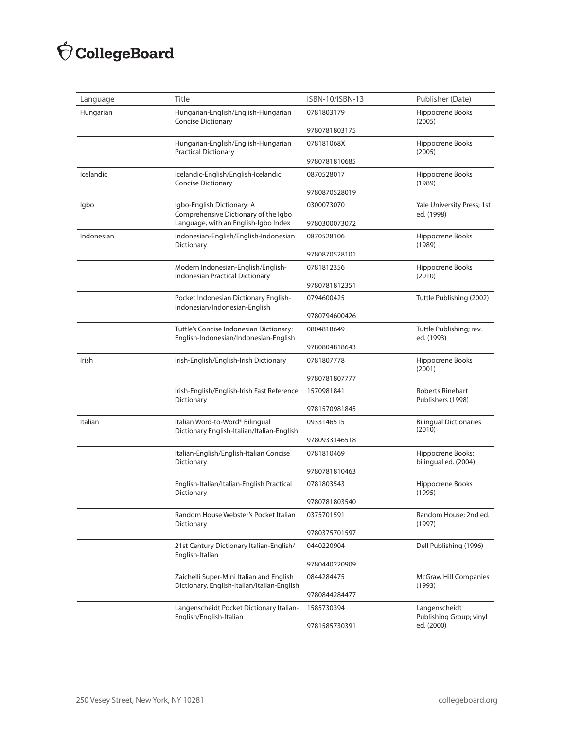| Language   | Title                                                                                   | ISBN-10/ISBN-13 | Publisher (Date)                          |
|------------|-----------------------------------------------------------------------------------------|-----------------|-------------------------------------------|
| Hungarian  | Hungarian-English/English-Hungarian<br><b>Concise Dictionary</b>                        | 0781803179      | Hippocrene Books<br>(2005)                |
|            |                                                                                         | 9780781803175   |                                           |
|            | Hungarian-English/English-Hungarian<br><b>Practical Dictionary</b>                      | 078181068X      | Hippocrene Books<br>(2005)                |
|            |                                                                                         | 9780781810685   |                                           |
| Icelandic  | Icelandic-English/English-Icelandic<br><b>Concise Dictionary</b>                        | 0870528017      | Hippocrene Books<br>(1989)                |
|            |                                                                                         | 9780870528019   |                                           |
| Igbo       | Igbo-English Dictionary: A<br>Comprehensive Dictionary of the Igbo                      | 0300073070      | Yale University Press; 1st<br>ed. (1998)  |
|            | Language, with an English-Igbo Index                                                    | 9780300073072   |                                           |
| Indonesian | Indonesian-English/English-Indonesian<br>Dictionary                                     | 0870528106      | Hippocrene Books<br>(1989)                |
|            |                                                                                         | 9780870528101   |                                           |
|            | Modern Indonesian-English/English-<br>Indonesian Practical Dictionary                   | 0781812356      | Hippocrene Books<br>(2010)                |
|            |                                                                                         | 9780781812351   |                                           |
|            | Pocket Indonesian Dictionary English-<br>Indonesian/Indonesian-English                  | 0794600425      | Tuttle Publishing (2002)                  |
|            |                                                                                         | 9780794600426   |                                           |
|            | Tuttle's Concise Indonesian Dictionary:<br>English-Indonesian/Indonesian-English        | 0804818649      | Tuttle Publishing; rev.<br>ed. (1993)     |
|            |                                                                                         | 9780804818643   |                                           |
| Irish      | Irish-English/English-Irish Dictionary                                                  | 0781807778      | Hippocrene Books<br>(2001)                |
|            |                                                                                         | 9780781807777   |                                           |
|            | Irish-English/English-Irish Fast Reference<br>Dictionary                                | 1570981841      | Roberts Rinehart<br>Publishers (1998)     |
|            |                                                                                         | 9781570981845   |                                           |
| Italian    | Italian Word-to-Word® Bilingual<br>Dictionary English-Italian/Italian-English           | 0933146515      | <b>Bilingual Dictionaries</b><br>(2010)   |
|            |                                                                                         | 9780933146518   |                                           |
|            | Italian-English/English-Italian Concise<br>Dictionary                                   | 0781810469      | Hippocrene Books;<br>bilingual ed. (2004) |
|            |                                                                                         | 9780781810463   |                                           |
|            | English-Italian/Italian-English Practical<br>Dictionary                                 | 0781803543      | Hippocrene Books<br>(1995)                |
|            |                                                                                         | 9780781803540   |                                           |
|            | Random House Webster's Pocket Italian<br>Dictionary                                     | 0375701591      | Random House; 2nd ed.<br>(1997)           |
|            |                                                                                         | 9780375701597   |                                           |
|            | 21st Century Dictionary Italian-English/<br>English-Italian                             | 0440220904      | Dell Publishing (1996)                    |
|            |                                                                                         | 9780440220909   |                                           |
|            | Zaichelli Super-Mini Italian and English<br>Dictionary, English-Italian/Italian-English | 0844284475      | <b>McGraw Hill Companies</b><br>(1993)    |
|            |                                                                                         | 9780844284477   |                                           |
|            | Langenscheidt Pocket Dictionary Italian-<br>English/English-Italian                     | 1585730394      | Langenscheidt<br>Publishing Group; vinyl  |
|            |                                                                                         | 9781585730391   | ed. (2000)                                |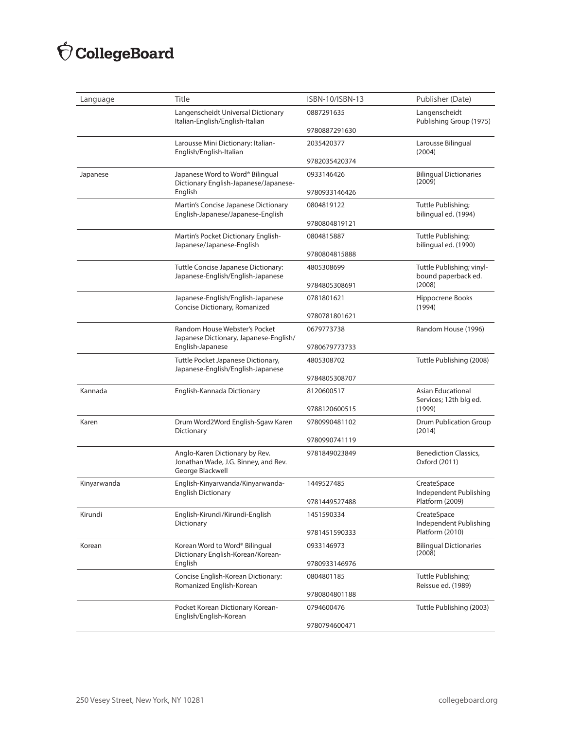|             | Title                                                                     | ISBN-10/ISBN-13 | Publisher (Date)                              |
|-------------|---------------------------------------------------------------------------|-----------------|-----------------------------------------------|
| Language    |                                                                           |                 |                                               |
|             | Langenscheidt Universal Dictionary<br>Italian-English/English-Italian     | 0887291635      | Langenscheidt<br>Publishing Group (1975)      |
|             |                                                                           | 9780887291630   |                                               |
|             | Larousse Mini Dictionary: Italian-                                        | 2035420377      | Larousse Bilingual                            |
|             | English/English-Italian                                                   | 9782035420374   | (2004)                                        |
|             |                                                                           |                 |                                               |
| Japanese    | Japanese Word to Word® Bilingual<br>Dictionary English-Japanese/Japanese- | 0933146426      | <b>Bilingual Dictionaries</b><br>(2009)       |
|             | English                                                                   | 9780933146426   |                                               |
|             | Martin's Concise Japanese Dictionary                                      | 0804819122      | Tuttle Publishing;                            |
|             | English-Japanese/Japanese-English                                         | 9780804819121   | bilingual ed. (1994)                          |
|             | Martin's Pocket Dictionary English-                                       | 0804815887      | Tuttle Publishing;                            |
|             | Japanese/Japanese-English                                                 |                 | bilingual ed. (1990)                          |
|             |                                                                           | 9780804815888   |                                               |
|             | Tuttle Concise Japanese Dictionary:                                       | 4805308699      | Tuttle Publishing; vinyl-                     |
|             | Japanese-English/English-Japanese                                         | 9784805308691   | bound paperback ed.<br>(2008)                 |
|             | Japanese-English/English-Japanese                                         | 0781801621      | Hippocrene Books                              |
|             | Concise Dictionary, Romanized                                             |                 | (1994)                                        |
|             |                                                                           | 9780781801621   |                                               |
|             | Random House Webster's Pocket                                             | 0679773738      | Random House (1996)                           |
|             | Japanese Dictionary, Japanese-English/<br>English-Japanese                | 9780679773733   |                                               |
|             | Tuttle Pocket Japanese Dictionary,                                        | 4805308702      | Tuttle Publishing (2008)                      |
|             | Japanese-English/English-Japanese                                         |                 |                                               |
|             |                                                                           | 9784805308707   |                                               |
| Kannada     | English-Kannada Dictionary                                                | 8120600517      | Asian Educational                             |
|             |                                                                           | 9788120600515   | Services; 12th blg ed.<br>(1999)              |
| Karen       | Drum Word2Word English-Sgaw Karen                                         | 9780990481102   | Drum Publication Group                        |
|             | Dictionary                                                                |                 | (2014)                                        |
|             |                                                                           | 9780990741119   |                                               |
|             | Anglo-Karen Dictionary by Rev.<br>Jonathan Wade, J.G. Binney, and Rev.    | 9781849023849   | <b>Benediction Classics,</b><br>Oxford (2011) |
|             | George Blackwell                                                          |                 |                                               |
| Kinyarwanda | English-Kinyarwanda/Kinyarwanda-                                          | 1449527485      | CreateSpace                                   |
|             | <b>English Dictionary</b>                                                 |                 | Independent Publishing                        |
|             |                                                                           | 9781449527488   | Platform (2009)                               |
| Kirundi     | English-Kirundi/Kirundi-English<br>Dictionary                             | 1451590334      | CreateSpace<br>Independent Publishing         |
|             |                                                                           | 9781451590333   | Platform (2010)                               |
| Korean      | Korean Word to Word® Bilingual                                            | 0933146973      | <b>Bilingual Dictionaries</b>                 |
|             | Dictionary English-Korean/Korean-                                         |                 | (2008)                                        |
|             | English                                                                   | 9780933146976   |                                               |
|             | Concise English-Korean Dictionary:<br>Romanized English-Korean            | 0804801185      | Tuttle Publishing;<br>Reissue ed. (1989)      |
|             |                                                                           | 9780804801188   |                                               |
|             | Pocket Korean Dictionary Korean-<br>English/English-Korean                | 0794600476      | Tuttle Publishing (2003)                      |
|             |                                                                           | 9780794600471   |                                               |
|             |                                                                           |                 |                                               |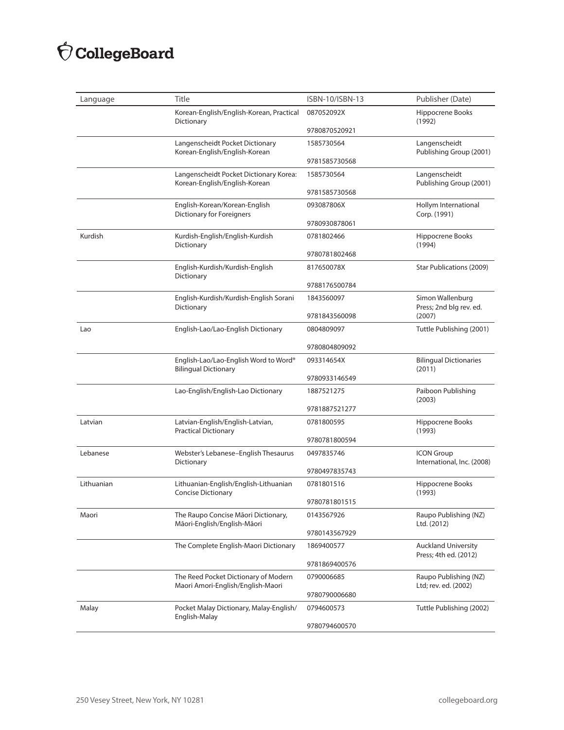| Language   | Title                                                                     | ISBN-10/ISBN-13 | Publisher (Date)                                |
|------------|---------------------------------------------------------------------------|-----------------|-------------------------------------------------|
|            | Korean-English/English-Korean, Practical                                  | 087052092X      | Hippocrene Books                                |
|            | Dictionary                                                                |                 | (1992)                                          |
|            |                                                                           | 9780870520921   |                                                 |
|            | Langenscheidt Pocket Dictionary<br>Korean-English/English-Korean          | 1585730564      | Langenscheidt<br>Publishing Group (2001)        |
|            |                                                                           | 9781585730568   |                                                 |
|            | Langenscheidt Pocket Dictionary Korea:<br>Korean-English/English-Korean   | 1585730564      | Langenscheidt<br>Publishing Group (2001)        |
|            |                                                                           | 9781585730568   |                                                 |
|            | English-Korean/Korean-English                                             | 093087806X      | Hollym International                            |
|            | <b>Dictionary for Foreigners</b>                                          | 9780930878061   | Corp. (1991)                                    |
| Kurdish    | Kurdish-English/English-Kurdish                                           | 0781802466      | Hippocrene Books                                |
|            | Dictionary                                                                | 9780781802468   | (1994)                                          |
|            | English-Kurdish/Kurdish-English                                           | 817650078X      | Star Publications (2009)                        |
|            | Dictionary                                                                | 9788176500784   |                                                 |
|            | English-Kurdish/Kurdish-English Sorani                                    | 1843560097      | Simon Wallenburg                                |
|            | Dictionary                                                                |                 | Press; 2nd blg rev. ed.                         |
|            |                                                                           | 9781843560098   | (2007)                                          |
| Lao        | English-Lao/Lao-English Dictionary                                        | 0804809097      | Tuttle Publishing (2001)                        |
|            |                                                                           | 9780804809092   |                                                 |
|            | English-Lao/Lao-English Word to Word®<br><b>Bilingual Dictionary</b>      | 093314654X      | <b>Bilingual Dictionaries</b><br>(2011)         |
|            |                                                                           | 9780933146549   |                                                 |
|            | Lao-English/English-Lao Dictionary                                        | 1887521275      | Paiboon Publishing<br>(2003)                    |
|            |                                                                           | 9781887521277   |                                                 |
| Latvian    | Latvian-English/English-Latvian,<br><b>Practical Dictionary</b>           | 0781800595      | Hippocrene Books<br>(1993)                      |
|            |                                                                           | 9780781800594   |                                                 |
| Lebanese   | Webster's Lebanese-English Thesaurus<br>Dictionary                        | 0497835746      | <b>ICON Group</b><br>International, Inc. (2008) |
|            |                                                                           | 9780497835743   |                                                 |
| Lithuanian | Lithuanian-English/English-Lithuanian                                     | 0781801516      | Hippocrene Books                                |
|            | <b>Concise Dictionary</b>                                                 | 9780781801515   | (1993)                                          |
| Maori      | The Raupo Concise Mãori Dictionary,                                       | 0143567926      | Raupo Publishing (NZ)                           |
|            | Mãori-English/English-Mãori                                               | 9780143567929   | Ltd. (2012)                                     |
|            | The Complete English-Maori Dictionary                                     | 1869400577      | <b>Auckland University</b>                      |
|            |                                                                           |                 | Press; 4th ed. (2012)                           |
|            |                                                                           | 9781869400576   |                                                 |
|            | The Reed Pocket Dictionary of Modern<br>Maori Amori-English/English-Maori | 0790006685      | Raupo Publishing (NZ)<br>Ltd; rev. ed. (2002)   |
|            |                                                                           | 9780790006680   |                                                 |
| Malay      | Pocket Malay Dictionary, Malay-English/<br>English-Malay                  | 0794600573      | Tuttle Publishing (2002)                        |
|            |                                                                           | 9780794600570   |                                                 |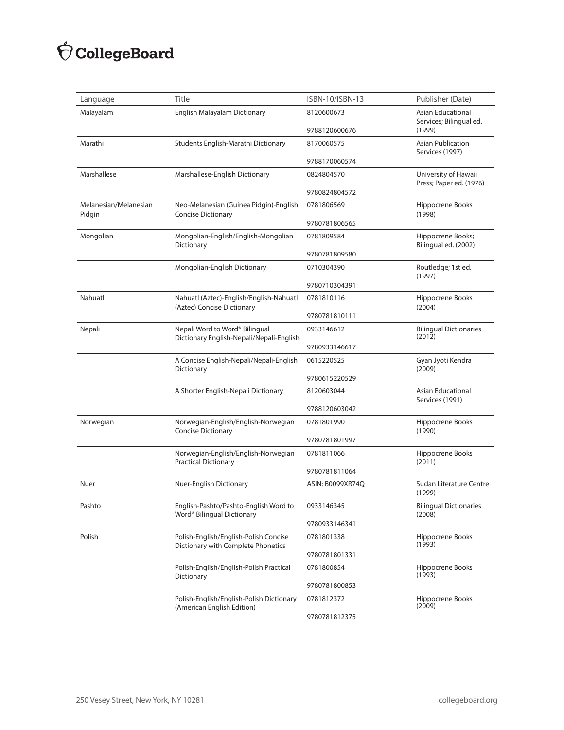| Language                        | Title                                                                       | ISBN-10/ISBN-13  | Publisher (Date)                             |
|---------------------------------|-----------------------------------------------------------------------------|------------------|----------------------------------------------|
| Malayalam                       | English Malayalam Dictionary                                                | 8120600673       | Asian Educational<br>Services; Bilingual ed. |
|                                 |                                                                             | 9788120600676    | (1999)                                       |
| Marathi                         | Students English-Marathi Dictionary                                         | 8170060575       | <b>Asian Publication</b>                     |
|                                 |                                                                             | 9788170060574    | Services (1997)                              |
| Marshallese                     | Marshallese-English Dictionary                                              | 0824804570       | University of Hawaii                         |
|                                 |                                                                             |                  | Press; Paper ed. (1976)                      |
|                                 |                                                                             | 9780824804572    |                                              |
| Melanesian/Melanesian<br>Pidgin | Neo-Melanesian (Guinea Pidgin)-English<br><b>Concise Dictionary</b>         | 0781806569       | Hippocrene Books<br>(1998)                   |
|                                 |                                                                             | 9780781806565    |                                              |
| Mongolian                       | Mongolian-English/English-Mongolian<br>Dictionary                           | 0781809584       | Hippocrene Books;<br>Bilingual ed. (2002)    |
|                                 |                                                                             | 9780781809580    |                                              |
|                                 | Mongolian-English Dictionary                                                | 0710304390       | Routledge; 1st ed.<br>(1997)                 |
|                                 |                                                                             | 9780710304391    |                                              |
| Nahuatl                         | Nahuatl (Aztec)-English/English-Nahuatl                                     | 0781810116       | Hippocrene Books                             |
|                                 | (Aztec) Concise Dictionary                                                  |                  | (2004)                                       |
|                                 |                                                                             | 9780781810111    |                                              |
| Nepali                          | Nepali Word to Word® Bilingual<br>Dictionary English-Nepali/Nepali-English  | 0933146612       | <b>Bilingual Dictionaries</b><br>(2012)      |
|                                 |                                                                             | 9780933146617    |                                              |
|                                 | A Concise English-Nepali/Nepali-English                                     | 0615220525       | Gyan Jyoti Kendra                            |
|                                 | Dictionary                                                                  |                  | (2009)                                       |
|                                 |                                                                             | 9780615220529    |                                              |
|                                 | A Shorter English-Nepali Dictionary                                         | 8120603044       | Asian Educational<br>Services (1991)         |
|                                 |                                                                             | 9788120603042    |                                              |
| Norwegian                       | Norwegian-English/English-Norwegian<br><b>Concise Dictionary</b>            | 0781801990       | Hippocrene Books<br>(1990)                   |
|                                 |                                                                             | 9780781801997    |                                              |
|                                 | Norwegian-English/English-Norwegian                                         | 0781811066       | Hippocrene Books                             |
|                                 | <b>Practical Dictionary</b>                                                 |                  | (2011)                                       |
|                                 |                                                                             | 9780781811064    |                                              |
| Nuer                            | Nuer-English Dictionary                                                     | ASIN: B0099XR74Q | Sudan Literature Centre<br>(1999)            |
| Pashto                          | English-Pashto/Pashto-English Word to                                       | 0933146345       | <b>Bilingual Dictionaries</b>                |
|                                 | Word <sup>®</sup> Bilingual Dictionary                                      | 9780933146341    | (2008)                                       |
|                                 |                                                                             |                  |                                              |
| Polish                          | Polish-English/English-Polish Concise<br>Dictionary with Complete Phonetics | 0781801338       | Hippocrene Books<br>(1993)                   |
|                                 |                                                                             | 9780781801331    |                                              |
|                                 | Polish-English/English-Polish Practical<br>Dictionary                       | 0781800854       | Hippocrene Books<br>(1993)                   |
|                                 |                                                                             | 9780781800853    |                                              |
|                                 | Polish-English/English-Polish Dictionary<br>(American English Edition)      | 0781812372       | Hippocrene Books<br>(2009)                   |
|                                 |                                                                             | 9780781812375    |                                              |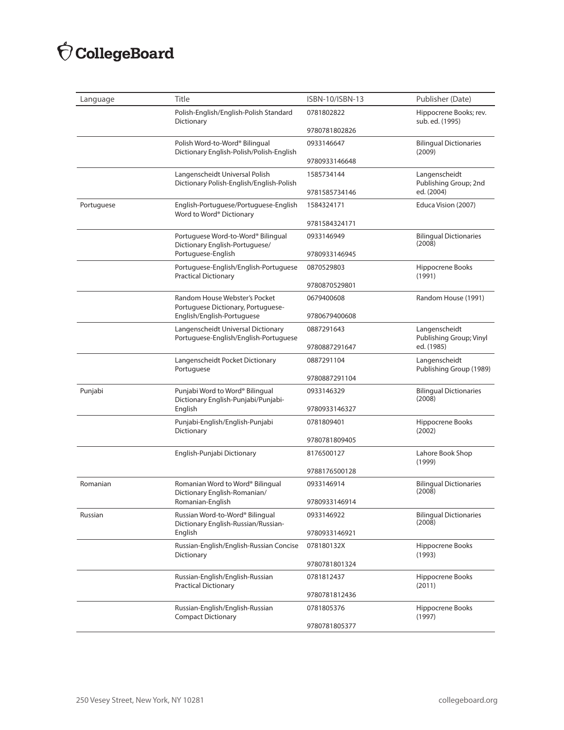| Language   | Title                                                                       | ISBN-10/ISBN-13 | Publisher (Date)                          |
|------------|-----------------------------------------------------------------------------|-----------------|-------------------------------------------|
|            | Polish-English/English-Polish Standard<br>Dictionary                        | 0781802822      | Hippocrene Books; rev.<br>sub. ed. (1995) |
|            |                                                                             | 9780781802826   |                                           |
|            | Polish Word-to-Word® Bilingual                                              | 0933146647      | <b>Bilingual Dictionaries</b>             |
|            | Dictionary English-Polish/Polish-English                                    | 9780933146648   | (2009)                                    |
|            | Langenscheidt Universal Polish                                              | 1585734144      | Langenscheidt                             |
|            | Dictionary Polish-English/English-Polish                                    |                 | Publishing Group; 2nd                     |
|            |                                                                             | 9781585734146   | ed. (2004)                                |
| Portuguese | English-Portuguese/Portuguese-English<br>Word to Word® Dictionary           | 1584324171      | Educa Vision (2007)                       |
|            |                                                                             | 9781584324171   |                                           |
|            | Portuguese Word-to-Word® Bilingual<br>Dictionary English-Portuguese/        | 0933146949      | <b>Bilingual Dictionaries</b><br>(2008)   |
|            | Portuguese-English                                                          | 9780933146945   |                                           |
|            | Portuguese-English/English-Portuguese<br><b>Practical Dictionary</b>        | 0870529803      | Hippocrene Books<br>(1991)                |
|            |                                                                             | 9780870529801   |                                           |
|            | Random House Webster's Pocket                                               | 0679400608      | Random House (1991)                       |
|            | Portuguese Dictionary, Portuguese-                                          |                 |                                           |
|            | English/English-Portuguese                                                  | 9780679400608   |                                           |
|            | Langenscheidt Universal Dictionary<br>Portuguese-English/English-Portuguese | 0887291643      | Langenscheidt<br>Publishing Group; Vinyl  |
|            |                                                                             | 9780887291647   | ed. (1985)                                |
|            | Langenscheidt Pocket Dictionary                                             | 0887291104      | Langenscheidt                             |
|            | Portuguese                                                                  | 9780887291104   | Publishing Group (1989)                   |
| Punjabi    | Punjabi Word to Word® Bilingual                                             | 0933146329      | <b>Bilingual Dictionaries</b>             |
|            | Dictionary English-Punjabi/Punjabi-                                         |                 | (2008)                                    |
|            | English                                                                     | 9780933146327   |                                           |
|            | Punjabi-English/English-Punjabi<br>Dictionary                               | 0781809401      | Hippocrene Books<br>(2002)                |
|            |                                                                             | 9780781809405   |                                           |
|            | English-Punjabi Dictionary                                                  | 8176500127      | Lahore Book Shop                          |
|            |                                                                             | 9788176500128   | (1999)                                    |
| Romanian   | Romanian Word to Word® Bilingual                                            | 0933146914      | <b>Bilingual Dictionaries</b>             |
|            | Dictionary English-Romanian/                                                |                 | (2008)                                    |
|            | Romanian-English                                                            | 9780933146914   |                                           |
| Russian    | Russian Word-to-Word® Bilingual                                             | 0933146922      | <b>Bilingual Dictionaries</b><br>(2008)   |
|            | Dictionary English-Russian/Russian-<br>English                              | 9780933146921   |                                           |
|            | Russian-English/English-Russian Concise                                     | 078180132X      | Hippocrene Books                          |
|            | Dictionary                                                                  |                 | (1993)                                    |
|            |                                                                             | 9780781801324   |                                           |
|            | Russian-English/English-Russian<br><b>Practical Dictionary</b>              | 0781812437      | Hippocrene Books<br>(2011)                |
|            |                                                                             | 9780781812436   |                                           |
|            | Russian-English/English-Russian<br><b>Compact Dictionary</b>                | 0781805376      | Hippocrene Books<br>(1997)                |
|            |                                                                             | 9780781805377   |                                           |
|            |                                                                             |                 |                                           |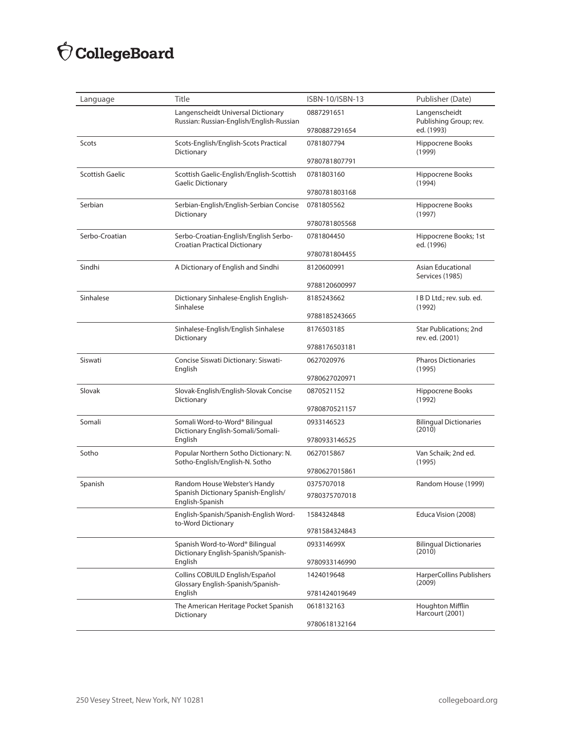| Language               | Title                                                                         | ISBN-10/ISBN-13 | Publisher (Date)                           |
|------------------------|-------------------------------------------------------------------------------|-----------------|--------------------------------------------|
|                        | Langenscheidt Universal Dictionary                                            | 0887291651      | Langenscheidt                              |
|                        | Russian: Russian-English/English-Russian                                      | 9780887291654   | Publishing Group; rev.<br>ed. (1993)       |
| Scots                  | Scots-English/English-Scots Practical<br>Dictionary                           | 0781807794      | Hippocrene Books                           |
|                        |                                                                               | 9780781807791   | (1999)                                     |
| <b>Scottish Gaelic</b> | Scottish Gaelic-English/English-Scottish<br><b>Gaelic Dictionary</b>          | 0781803160      | Hippocrene Books<br>(1994)                 |
|                        |                                                                               | 9780781803168   |                                            |
| Serbian                | Serbian-English/English-Serbian Concise<br>Dictionary                         | 0781805562      | Hippocrene Books<br>(1997)                 |
|                        |                                                                               | 9780781805568   |                                            |
| Serbo-Croatian         | Serbo-Croatian-English/English Serbo-<br><b>Croatian Practical Dictionary</b> | 0781804450      | Hippocrene Books; 1st<br>ed. (1996)        |
|                        |                                                                               | 9780781804455   |                                            |
| Sindhi                 | A Dictionary of English and Sindhi                                            | 8120600991      | Asian Educational<br>Services (1985)       |
|                        |                                                                               | 9788120600997   |                                            |
| Sinhalese              | Dictionary Sinhalese-English English-<br>Sinhalese                            | 8185243662      | IBD Ltd.; rev. sub. ed.<br>(1992)          |
|                        |                                                                               | 9788185243665   |                                            |
|                        | Sinhalese-English/English Sinhalese<br>Dictionary                             | 8176503185      | Star Publications; 2nd<br>rev. ed. (2001)  |
|                        |                                                                               | 9788176503181   |                                            |
| Siswati                | Concise Siswati Dictionary: Siswati-<br>English                               | 0627020976      | <b>Pharos Dictionaries</b><br>(1995)       |
|                        |                                                                               | 9780627020971   |                                            |
| Slovak                 | Slovak-English/English-Slovak Concise<br>Dictionary                           | 0870521152      | Hippocrene Books<br>(1992)                 |
|                        |                                                                               | 9780870521157   |                                            |
| Somali                 | Somali Word-to-Word® Bilingual<br>Dictionary English-Somali/Somali-           | 0933146523      | <b>Bilingual Dictionaries</b><br>(2010)    |
|                        | English                                                                       | 9780933146525   |                                            |
| Sotho                  | Popular Northern Sotho Dictionary: N.<br>Sotho-English/English-N. Sotho       | 0627015867      | Van Schaik; 2nd ed.<br>(1995)              |
|                        |                                                                               | 9780627015861   |                                            |
| Spanish                | Random House Webster's Handy                                                  | 0375707018      | Random House (1999)                        |
|                        | Spanish Dictionary Spanish-English/<br>English-Spanish                        | 9780375707018   |                                            |
|                        | English-Spanish/Spanish-English Word-<br>to-Word Dictionary                   | 1584324848      | Educa Vision (2008)                        |
|                        |                                                                               | 9781584324843   |                                            |
|                        | Spanish Word-to-Word® Bilingual<br>Dictionary English-Spanish/Spanish-        | 093314699X      | <b>Bilingual Dictionaries</b><br>(2010)    |
|                        | English                                                                       | 9780933146990   |                                            |
|                        | Collins COBUILD English/Español<br>Glossary English-Spanish/Spanish-          | 1424019648      | HarperCollins Publishers<br>(2009)         |
|                        | English                                                                       | 9781424019649   |                                            |
|                        | The American Heritage Pocket Spanish<br>Dictionary                            | 0618132163      | <b>Houghton Mifflin</b><br>Harcourt (2001) |
|                        |                                                                               | 9780618132164   |                                            |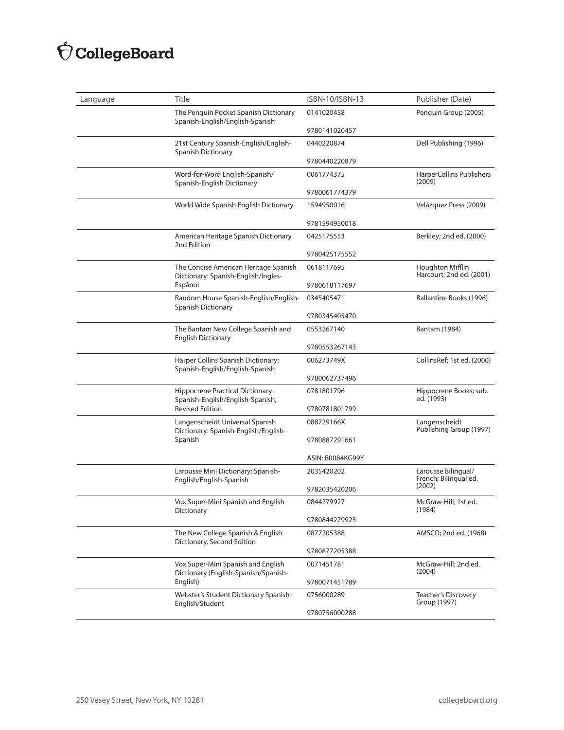|          | Title                                                                        | ISBN-10/ISBN-13  |                                              |
|----------|------------------------------------------------------------------------------|------------------|----------------------------------------------|
| Language |                                                                              |                  | Publisher (Date)                             |
|          | The Penguin Pocket Spanish Dictionary<br>Spanish-English/English-Spanish     | 0141020458       | Penguin Group (2005)                         |
|          |                                                                              | 9780141020457    |                                              |
|          | 21st Century Spanish-English/English-<br><b>Spanish Dictionary</b>           | 0440220874       | Dell Publishing (1996)                       |
|          |                                                                              | 9780440220879    |                                              |
|          | Word-for-Word English-Spanish/<br>Spanish-English Dictionary                 | 0061774375       | HarperCollins Publishers<br>(2009)           |
|          |                                                                              | 9780061774379    |                                              |
|          | World Wide Spanish English Dictionary                                        | 1594950016       | Velázquez Press (2009)                       |
|          |                                                                              | 9781594950018    |                                              |
|          | American Heritage Spanish Dictionary<br>2nd Edition                          | 0425175553       | Berkley; 2nd ed. (2000)                      |
|          |                                                                              | 9780425175552    |                                              |
|          | The Concise American Heritage Spanish<br>Dictionary: Spanish-English/Ingles- | 0618117695       | Houghton Mifflin<br>Harcourt; 2nd ed. (2001) |
|          | Espãnol                                                                      | 9780618117697    |                                              |
|          | Random House Spanish-English/English-<br><b>Spanish Dictionary</b>           | 0345405471       | Ballantine Books (1996)                      |
|          |                                                                              | 9780345405470    |                                              |
|          | The Bantam New College Spanish and<br><b>English Dictionary</b>              | 0553267140       | Bantam (1984)                                |
|          |                                                                              | 9780553267143    |                                              |
|          | Harper Collins Spanish Dictionary:<br>Spanish-English/English-Spanish        | 006273749X       | CollinsRef; 1st ed. (2000)                   |
|          |                                                                              | 9780062737496    |                                              |
|          | Hippocrene Practical Dictionary:<br>Spanish-English/English-Spanish,         | 0781801796       | Hippocrene Books; sub.<br>ed. (1993)         |
|          | <b>Revised Edition</b>                                                       | 9780781801799    |                                              |
|          | Langenscheidt Universal Spanish<br>Dictionary: Spanish-English/English-      | 088729166X       | Langenscheidt<br>Publishing Group (1997)     |
|          | Spanish                                                                      | 9780887291661    |                                              |
|          |                                                                              | ASIN: B0084KG99Y |                                              |
|          | Larousse Mini Dictionary: Spanish-                                           | 2035420202       | Larousse Bilingual/                          |
|          | English/English-Spanish                                                      |                  | French; Bilingual ed.<br>(2002)              |
|          |                                                                              | 9782035420206    |                                              |
|          | Vox Super-Mini Spanish and English<br>Dictionary                             | 0844279927       | McGraw-Hill; 1st ed.<br>(1984)               |
|          |                                                                              | 9780844279923    |                                              |
|          | The New College Spanish & English<br>Dictionary, Second Edition              | 0877205388       | AMSCO; 2nd ed. (1968)                        |
|          |                                                                              | 9780877205388    |                                              |
|          | Vox Super-Mini Spanish and English<br>Dictionary (English-Spanish/Spanish-   | 0071451781       | McGraw-Hill; 2nd ed.<br>(2004)               |
|          | English)                                                                     | 9780071451789    |                                              |
|          | Webster's Student Dictionary Spanish-<br>English/Student                     | 0756000289       | Teacher's Discovery<br>Group (1997)          |
|          |                                                                              | 9780756000288    |                                              |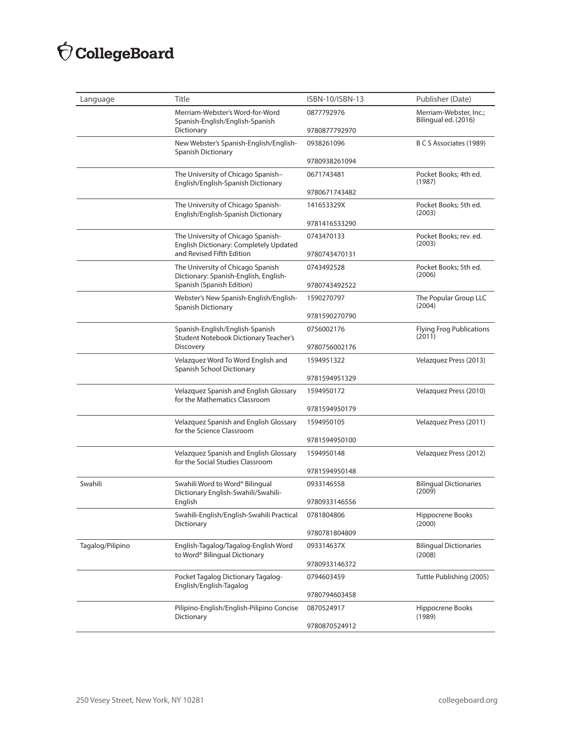| Language         | Title                                                                             | ISBN-10/ISBN-13 | Publisher (Date)                               |
|------------------|-----------------------------------------------------------------------------------|-----------------|------------------------------------------------|
|                  |                                                                                   |                 |                                                |
|                  | Merriam-Webster's Word-for-Word<br>Spanish-English/English-Spanish                | 0877792976      | Merriam-Webster, Inc.;<br>Bilingual ed. (2016) |
|                  | Dictionary                                                                        | 9780877792970   |                                                |
|                  | New Webster's Spanish-English/English-<br><b>Spanish Dictionary</b>               | 0938261096      | B C S Associates (1989)                        |
|                  |                                                                                   | 9780938261094   |                                                |
|                  | The University of Chicago Spanish-<br>English/English-Spanish Dictionary          | 0671743481      | Pocket Books; 4th ed.<br>(1987)                |
|                  |                                                                                   | 9780671743482   |                                                |
|                  | The University of Chicago Spanish-<br>English/English-Spanish Dictionary          | 141653329X      | Pocket Books; 5th ed.<br>(2003)                |
|                  |                                                                                   | 9781416533290   |                                                |
|                  | The University of Chicago Spanish-<br>English Dictionary: Completely Updated      | 0743470133      | Pocket Books; rev. ed.<br>(2003)               |
|                  | and Revised Fifth Edition                                                         | 9780743470131   |                                                |
|                  | The University of Chicago Spanish<br>Dictionary: Spanish-English, English-        | 0743492528      | Pocket Books; 5th ed.<br>(2006)                |
|                  | Spanish (Spanish Edition)                                                         | 9780743492522   |                                                |
|                  | Webster's New Spanish-English/English-<br><b>Spanish Dictionary</b>               | 1590270797      | The Popular Group LLC<br>(2004)                |
|                  |                                                                                   | 9781590270790   |                                                |
|                  | Spanish-English/English-Spanish<br><b>Student Notebook Dictionary Teacher's</b>   | 0756002176      | <b>Flying Frog Publications</b><br>(2011)      |
|                  | Discovery                                                                         | 9780756002176   |                                                |
|                  | Velazquez Word To Word English and<br>Spanish School Dictionary                   | 1594951322      | Velazquez Press (2013)                         |
|                  |                                                                                   | 9781594951329   |                                                |
|                  | Velazquez Spanish and English Glossary<br>for the Mathematics Classroom           | 1594950172      | Velazquez Press (2010)                         |
|                  |                                                                                   | 9781594950179   |                                                |
|                  | Velazquez Spanish and English Glossary<br>for the Science Classroom               | 1594950105      | Velazquez Press (2011)                         |
|                  |                                                                                   | 9781594950100   |                                                |
|                  | Velazquez Spanish and English Glossary<br>for the Social Studies Classroom        | 1594950148      | Velazquez Press (2012)                         |
|                  |                                                                                   | 9781594950148   |                                                |
| Swahili          | Swahili Word to Word® Bilingual<br>Dictionary English-Swahili/Swahili-            | 0933146558      | <b>Bilingual Dictionaries</b><br>(2009)        |
|                  | English                                                                           | 9780933146556   |                                                |
|                  | Swahili-English/English-Swahili Practical<br>Dictionary                           | 0781804806      | Hippocrene Books<br>(2000)                     |
|                  |                                                                                   | 9780781804809   |                                                |
| Tagalog/Pilipino | English-Tagalog/Tagalog-English Word<br>to Word <sup>®</sup> Bilingual Dictionary | 093314637X      | <b>Bilingual Dictionaries</b><br>(2008)        |
|                  |                                                                                   | 9780933146372   |                                                |
|                  | Pocket Tagalog Dictionary Tagalog-<br>English/English-Tagalog                     | 0794603459      | Tuttle Publishing (2005)                       |
|                  |                                                                                   | 9780794603458   |                                                |
|                  | Pilipino-English/English-Pilipino Concise<br>Dictionary                           | 0870524917      | Hippocrene Books<br>(1989)                     |
|                  |                                                                                   | 9780870524912   |                                                |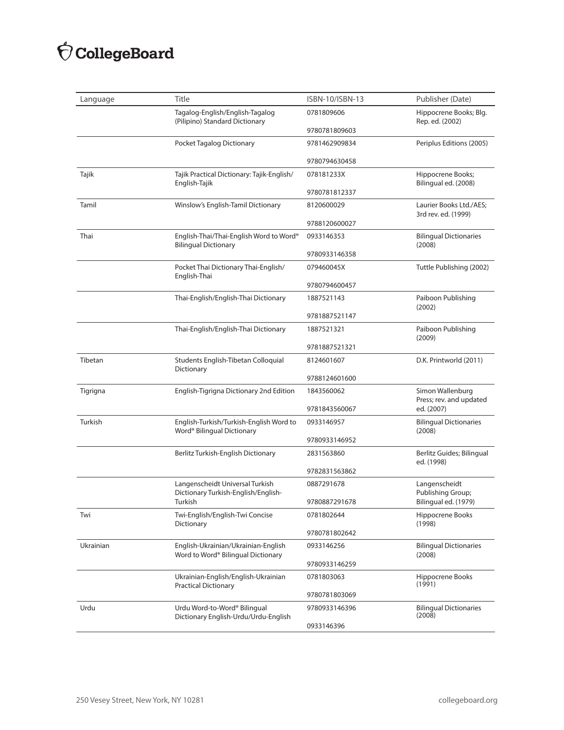| Language  | Title                                                                                 | ISBN-10/ISBN-13 | Publisher (Date)                               |
|-----------|---------------------------------------------------------------------------------------|-----------------|------------------------------------------------|
|           | Tagalog-English/English-Tagalog<br>(Pilipino) Standard Dictionary                     | 0781809606      | Hippocrene Books; Blg.<br>Rep. ed. (2002)      |
|           |                                                                                       | 9780781809603   |                                                |
|           | Pocket Tagalog Dictionary                                                             | 9781462909834   | Periplus Editions (2005)                       |
|           |                                                                                       | 9780794630458   |                                                |
| Tajik     | Tajik Practical Dictionary: Tajik-English/<br>English-Tajik                           | 078181233X      | Hippocrene Books;<br>Bilingual ed. (2008)      |
|           |                                                                                       | 9780781812337   |                                                |
| Tamil     | Winslow's English-Tamil Dictionary                                                    | 8120600029      | Laurier Books Ltd./AES;<br>3rd rev. ed. (1999) |
|           |                                                                                       | 9788120600027   |                                                |
| Thai      | English-Thai/Thai-English Word to Word®<br><b>Bilingual Dictionary</b>                | 0933146353      | <b>Bilingual Dictionaries</b><br>(2008)        |
|           |                                                                                       | 9780933146358   |                                                |
|           | Pocket Thai Dictionary Thai-English/<br>English-Thai                                  | 079460045X      | Tuttle Publishing (2002)                       |
|           |                                                                                       | 9780794600457   |                                                |
|           | Thai-English/English-Thai Dictionary                                                  | 1887521143      | Paiboon Publishing<br>(2002)                   |
|           |                                                                                       | 9781887521147   |                                                |
|           | Thai-English/English-Thai Dictionary                                                  | 1887521321      | Paiboon Publishing<br>(2009)                   |
|           |                                                                                       | 9781887521321   |                                                |
| Tibetan   | Students English-Tibetan Colloquial<br>Dictionary                                     | 8124601607      | D.K. Printworld (2011)                         |
|           |                                                                                       | 9788124601600   |                                                |
| Tigrigna  | English-Tigrigna Dictionary 2nd Edition                                               | 1843560062      | Simon Wallenburg<br>Press; rev. and updated    |
|           |                                                                                       | 9781843560067   | ed. (2007)                                     |
| Turkish   | English-Turkish/Turkish-English Word to<br>Word <sup>®</sup> Bilingual Dictionary     | 0933146957      | <b>Bilingual Dictionaries</b><br>(2008)        |
|           |                                                                                       | 9780933146952   |                                                |
|           | Berlitz Turkish-English Dictionary                                                    | 2831563860      | Berlitz Guides; Bilingual<br>ed. (1998)        |
|           |                                                                                       | 9782831563862   |                                                |
|           | Langenscheidt Universal Turkish<br>Dictionary Turkish-English/English-                | 0887291678      | Langenscheidt<br>Publishing Group;             |
|           | Turkish                                                                               | 9780887291678   | Bilingual ed. (1979)                           |
| Twi       | Twi-English/English-Twi Concise<br>Dictionary                                         | 0781802644      | Hippocrene Books<br>(1998)                     |
|           |                                                                                       | 9780781802642   |                                                |
| Ukrainian | English-Ukrainian/Ukrainian-English<br>Word to Word <sup>®</sup> Bilingual Dictionary | 0933146256      | <b>Bilingual Dictionaries</b><br>(2008)        |
|           |                                                                                       | 9780933146259   |                                                |
|           | Ukrainian-English/English-Ukrainian<br><b>Practical Dictionary</b>                    | 0781803063      | Hippocrene Books<br>(1991)                     |
|           |                                                                                       | 9780781803069   |                                                |
| Urdu      | Urdu Word-to-Word® Bilingual<br>Dictionary English-Urdu/Urdu-English                  | 9780933146396   | <b>Bilingual Dictionaries</b><br>(2008)        |
|           |                                                                                       | 0933146396      |                                                |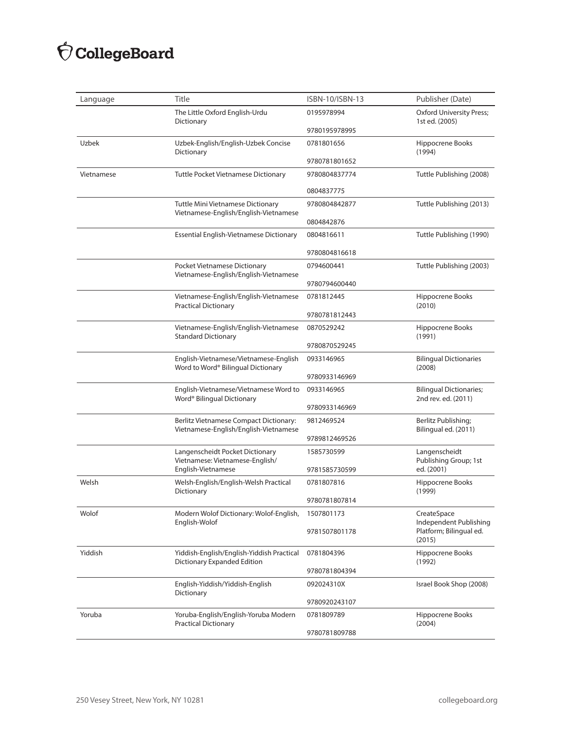| Language   | Title                                                                           | ISBN-10/ISBN-13 | Publisher (Date)                                      |
|------------|---------------------------------------------------------------------------------|-----------------|-------------------------------------------------------|
|            | The Little Oxford English-Urdu<br>Dictionary                                    | 0195978994      | <b>Oxford University Press;</b><br>1st ed. (2005)     |
|            |                                                                                 | 9780195978995   |                                                       |
| Uzbek      | Uzbek-English/English-Uzbek Concise<br>Dictionary                               | 0781801656      | Hippocrene Books<br>(1994)                            |
|            |                                                                                 | 9780781801652   |                                                       |
| Vietnamese | Tuttle Pocket Vietnamese Dictionary                                             | 9780804837774   | Tuttle Publishing (2008)                              |
|            |                                                                                 | 0804837775      |                                                       |
|            | Tuttle Mini Vietnamese Dictionary<br>Vietnamese-English/English-Vietnamese      | 9780804842877   | Tuttle Publishing (2013)                              |
|            |                                                                                 | 0804842876      |                                                       |
|            | Essential English-Vietnamese Dictionary                                         | 0804816611      | Tuttle Publishing (1990)                              |
|            |                                                                                 | 9780804816618   |                                                       |
|            | Pocket Vietnamese Dictionary<br>Vietnamese-English/English-Vietnamese           | 0794600441      | Tuttle Publishing (2003)                              |
|            |                                                                                 | 9780794600440   |                                                       |
|            | Vietnamese-English/English-Vietnamese<br><b>Practical Dictionary</b>            | 0781812445      | Hippocrene Books<br>(2010)                            |
|            |                                                                                 | 9780781812443   |                                                       |
|            | Vietnamese-English/English-Vietnamese<br><b>Standard Dictionary</b>             | 0870529242      | Hippocrene Books<br>(1991)                            |
|            |                                                                                 | 9780870529245   |                                                       |
|            | English-Vietnamese/Vietnamese-English<br>Word to Word® Bilingual Dictionary     | 0933146965      | <b>Bilingual Dictionaries</b><br>(2008)               |
|            |                                                                                 | 9780933146969   |                                                       |
|            | English-Vietnamese/Vietnamese Word to<br>Word <sup>®</sup> Bilingual Dictionary | 0933146965      | <b>Bilingual Dictionaries;</b><br>2nd rev. ed. (2011) |
|            |                                                                                 | 9780933146969   |                                                       |
|            | Berlitz Vietnamese Compact Dictionary:<br>Vietnamese-English/English-Vietnamese | 9812469524      | Berlitz Publishing;<br>Bilingual ed. (2011)           |
|            |                                                                                 | 9789812469526   |                                                       |
|            | Langenscheidt Pocket Dictionary<br>Vietnamese: Vietnamese-English/              | 1585730599      | Langenscheidt<br>Publishing Group; 1st                |
|            | English-Vietnamese                                                              | 9781585730599   | ed. (2001)                                            |
| Welsh      | Welsh-English/English-Welsh Practical<br>Dictionary                             | 0781807816      | Hippocrene Books<br>(1999)                            |
|            |                                                                                 | 9780781807814   |                                                       |
| Wolof      | Modern Wolof Dictionary: Wolof-English,<br>English-Wolof                        | 1507801173      | CreateSpace<br>Independent Publishing                 |
|            |                                                                                 | 9781507801178   | Platform; Bilingual ed.<br>(2015)                     |
| Yiddish    | Yiddish-English/English-Yiddish Practical<br>Dictionary Expanded Edition        | 0781804396      | Hippocrene Books<br>(1992)                            |
|            |                                                                                 | 9780781804394   |                                                       |
|            | English-Yiddish/Yiddish-English<br>Dictionary                                   | 092024310X      | Israel Book Shop (2008)                               |
|            |                                                                                 | 9780920243107   |                                                       |
| Yoruba     | Yoruba-English/English-Yoruba Modern<br><b>Practical Dictionary</b>             | 0781809789      | Hippocrene Books<br>(2004)                            |
|            |                                                                                 | 9780781809788   |                                                       |